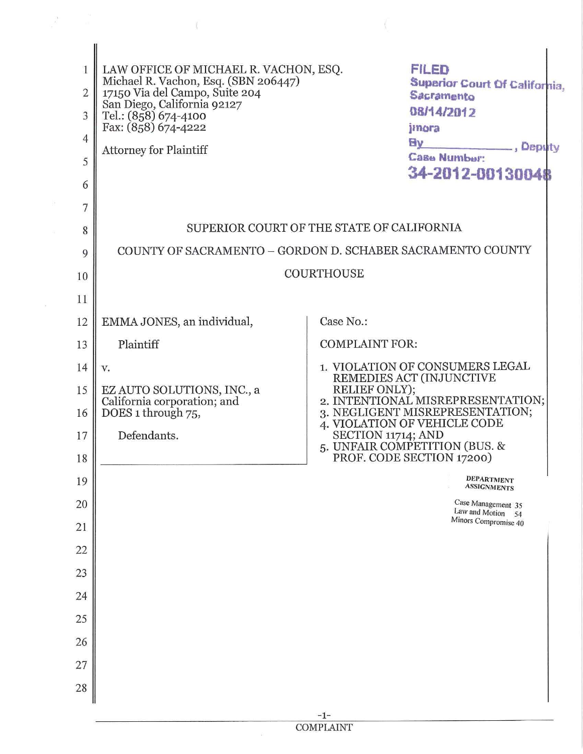| 1<br>$\overline{2}$<br>3<br>4<br>5<br>6 | <b>FILED</b><br>LAW OFFICE OF MICHAEL R. VACHON, ESQ.<br>Michael R. Vachon, Esq. (SBN 206447)<br><b>Superior Court Of California,</b><br>17150 Via del Campo, Suite 204<br>Sacramento<br>San Diego, California 92127<br>08/14/2012<br>Tel.: (858) 674-4100<br>Fax: (858) 674-4222<br>jinora<br><b>Ely</b><br>Deputy<br><b>Attorney for Plaintiff</b><br>Case Number:<br>34-2012-00130048 |                                                                                                                       |
|-----------------------------------------|------------------------------------------------------------------------------------------------------------------------------------------------------------------------------------------------------------------------------------------------------------------------------------------------------------------------------------------------------------------------------------------|-----------------------------------------------------------------------------------------------------------------------|
| 7                                       |                                                                                                                                                                                                                                                                                                                                                                                          |                                                                                                                       |
| 8                                       |                                                                                                                                                                                                                                                                                                                                                                                          | SUPERIOR COURT OF THE STATE OF CALIFORNIA<br>COUNTY OF SACRAMENTO - GORDON D. SCHABER SACRAMENTO COUNTY               |
| 9<br>10                                 |                                                                                                                                                                                                                                                                                                                                                                                          | <b>COURTHOUSE</b>                                                                                                     |
| 11                                      |                                                                                                                                                                                                                                                                                                                                                                                          |                                                                                                                       |
| 12                                      | EMMA JONES, an individual,                                                                                                                                                                                                                                                                                                                                                               | Case No.:                                                                                                             |
| 13                                      | Plaintiff                                                                                                                                                                                                                                                                                                                                                                                | <b>COMPLAINT FOR:</b>                                                                                                 |
| 14                                      | V.                                                                                                                                                                                                                                                                                                                                                                                       | 1. VIOLATION OF CONSUMERS LEGAL<br>REMEDIES ACT (INJUNCTIVE                                                           |
| 15<br>16                                | EZ AUTO SOLUTIONS, INC., a<br>California corporation; and<br>DOES 1 through 75,                                                                                                                                                                                                                                                                                                          | RELIEF ONLY);<br>2. INTENTIONAL MISREPRESENTATION;<br>3. NEGLIGENT MISREPRESENTATION;<br>4. VIOLATION OF VEHICLE CODE |
| 17<br>18                                | Defendants.                                                                                                                                                                                                                                                                                                                                                                              | SECTION 11714; AND<br>5. UNFAIR COMPETITION (BUS. &<br>PROF. CODE SECTION 17200)                                      |
| 19                                      |                                                                                                                                                                                                                                                                                                                                                                                          | <b>DEPARTMENT</b><br><b>ASSIGNMENTS</b>                                                                               |
| 20                                      |                                                                                                                                                                                                                                                                                                                                                                                          | Case Management 35<br>Law and Motion 54                                                                               |
| 21                                      |                                                                                                                                                                                                                                                                                                                                                                                          | Minors Compromise 40                                                                                                  |
| 22                                      |                                                                                                                                                                                                                                                                                                                                                                                          |                                                                                                                       |
| 23                                      |                                                                                                                                                                                                                                                                                                                                                                                          |                                                                                                                       |
| 24                                      |                                                                                                                                                                                                                                                                                                                                                                                          |                                                                                                                       |
| 25                                      |                                                                                                                                                                                                                                                                                                                                                                                          |                                                                                                                       |
| 26<br>27                                |                                                                                                                                                                                                                                                                                                                                                                                          |                                                                                                                       |
| 28                                      |                                                                                                                                                                                                                                                                                                                                                                                          |                                                                                                                       |
|                                         |                                                                                                                                                                                                                                                                                                                                                                                          | $-1-$                                                                                                                 |

COMPLAINT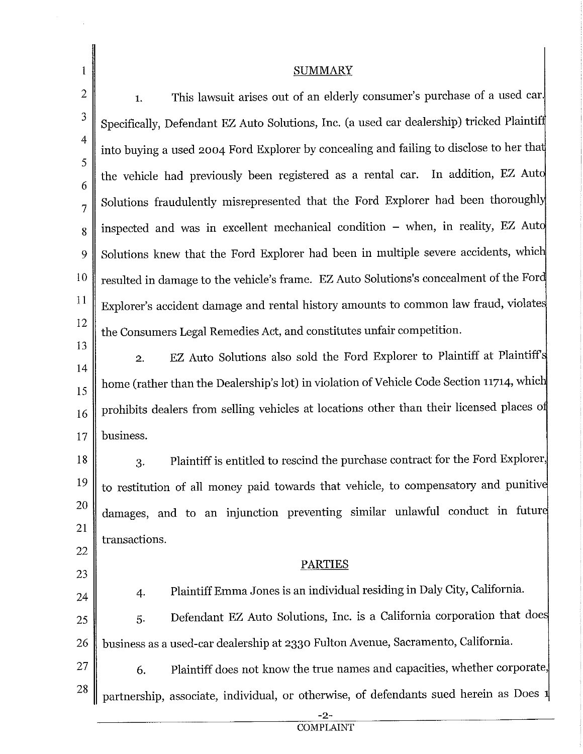| 1              | <b>SUMMARY</b>                                                                            |  |  |  |
|----------------|-------------------------------------------------------------------------------------------|--|--|--|
| $\overline{2}$ | This lawsuit arises out of an elderly consumer's purchase of a used car.<br>1.            |  |  |  |
| 3              | Specifically, Defendant EZ Auto Solutions, Inc. (a used car dealership) tricked Plaintiff |  |  |  |
| $\overline{4}$ | into buying a used 2004 Ford Explorer by concealing and failing to disclose to her that   |  |  |  |
| 5<br>6         | the vehicle had previously been registered as a rental car. In addition, EZ Auto          |  |  |  |
| 7              | Solutions fraudulently misrepresented that the Ford Explorer had been thoroughly          |  |  |  |
| 8              | inspected and was in excellent mechanical condition - when, in reality, EZ Auto           |  |  |  |
| 9              | Solutions knew that the Ford Explorer had been in multiple severe accidents, which        |  |  |  |
| 10             | resulted in damage to the vehicle's frame. EZ Auto Solutions's concealment of the Ford    |  |  |  |
| 11             | Explorer's accident damage and rental history amounts to common law fraud, violates       |  |  |  |
| 12             | the Consumers Legal Remedies Act, and constitutes unfair competition.                     |  |  |  |
| 13<br>14       | EZ Auto Solutions also sold the Ford Explorer to Plaintiff at Plaintiff's<br>2.           |  |  |  |
| 15             | home (rather than the Dealership's lot) in violation of Vehicle Code Section 11714, which |  |  |  |
| 16             | prohibits dealers from selling vehicles at locations other than their licensed places of  |  |  |  |
| 17             | business.                                                                                 |  |  |  |
| 18             | Plaintiff is entitled to rescind the purchase contract for the Ford Explorer,<br>3.       |  |  |  |
| 19             | to restitution of all money paid towards that vehicle, to compensatory and punitive       |  |  |  |
| 20             | damages, and to an injunction preventing similar unlawful conduct in future               |  |  |  |
| 21             | transactions.                                                                             |  |  |  |
| 22             | <b>PARTIES</b>                                                                            |  |  |  |
| 23<br>24       | Plaintiff Emma Jones is an individual residing in Daly City, California.<br>4.            |  |  |  |
| 25             | Defendant EZ Auto Solutions, Inc. is a California corporation that does<br>5.             |  |  |  |
| 26             | business as a used-car dealership at 2330 Fulton Avenue, Sacramento, California.          |  |  |  |
| <u>27</u>      | Plaintiff does not know the true names and capacities, whether corporate,<br>6.           |  |  |  |
| 28             | partnership, associate, individual, or otherwise, of defendants sued herein as Does 1     |  |  |  |
|                | -2-                                                                                       |  |  |  |

COMPLAINT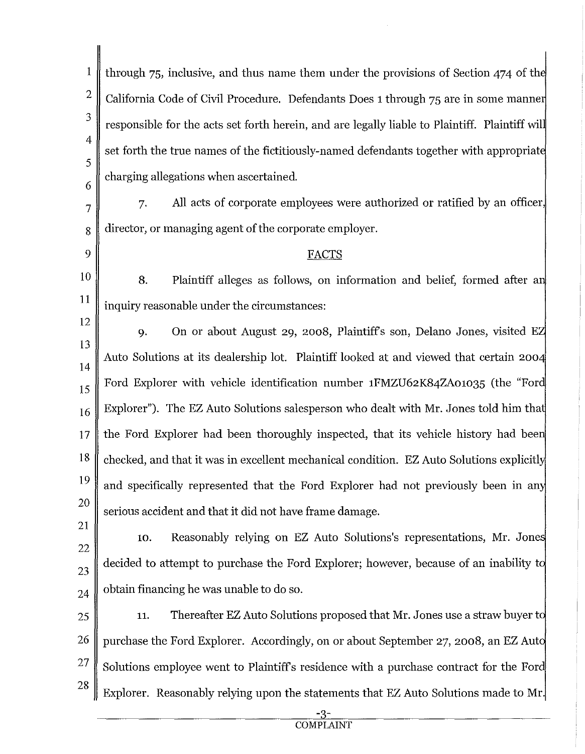1 2 3 4 5 6 through 75, inclusive, and thus name them under the provisions of Section 474 of the California Code of Civil Procedure. Defendants Does 1 through 75 are in some manne responsible for the acts set forth herein, and are legally liable to Plaintiff. Plaintiff wil set forth the true names of the fictitiously-named defendants together with appropriat charging allegations when ascertained.

7 7. All acts of corporate employees were authorized or ratified by an officer, 8 director, or managing agent of the corporate employer.

## 9 FACTS

10 11 8. Plaintiff alleges as follows, on information and belief, formed after a inquiry reasonable under the circumstances:

12 13 14 15 16 17 18 19 20 9. On or about August 29, 2008, Plaintiffs son, Delano Jones, visited E Auto Solutions at its dealership lot. Plaintiff looked at and viewed that certain 200 Ford Explorer with vehicle identification number 1FMZU62K84ZA01035 (the "For Explorer"). The EZ Auto Solutions salesperson who dealt with Mr. Jones told him that the Ford Explorer had been thoroughly inspected, that its vehicle history had bee checked, and that it was in excellent mechanical condition. EZ Auto Solutions explicitl and specifically represented that the Ford Explorer had not previously been in an serious accident and that it did not have frame damage.

21

22 23 24 10. Reasonably relying on EZ Auto Solutions's representations, Mr. Jone decided to attempt to purchase the Ford Explorer; however, because of an inability t obtain financing he was unable to do so.

25 26 27 28 11. Thereafter EZ Auto Solutions proposed that Mr. Jones use a straw buyer t purchase the Ford Explorer. Accordingly, on or about September 27, 2008, an EZ Aut Solutions employee went to Plaintiff's residence with a purchase contract for the Ford Explorer. Reasonably relying upon the statements that EZ Auto Solutions made to Mr.

> <u>-3-</u> **COMPLAINT**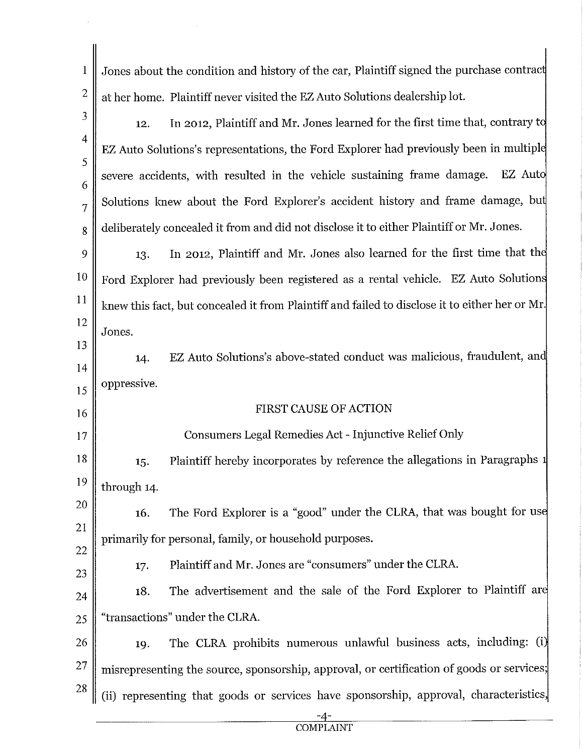|                | Jones about the condition and history of the car, Plaintiff signed the purchase contract                                                                              |  |  |  |
|----------------|-----------------------------------------------------------------------------------------------------------------------------------------------------------------------|--|--|--|
|                | at her home. Plaintiff never visited the EZ Auto Solutions dealership lot.                                                                                            |  |  |  |
|                | In 2012, Plaintiff and Mr. Jones learned for the first time that, contrary to<br>12.                                                                                  |  |  |  |
|                | EZ Auto Solutions's representations, the Ford Explorer had previously been in multiple                                                                                |  |  |  |
|                | severe accidents, with resulted in the vehicle sustaining frame damage.<br>EZ Auto<br>Solutions knew about the Ford Explorer's accident history and frame damage, but |  |  |  |
| $\overline{7}$ |                                                                                                                                                                       |  |  |  |
| 8              | deliberately concealed it from and did not disclose it to either Plaintiff or Mr. Jones.                                                                              |  |  |  |

9 10 11 12 13. In 2012, Plaintiff and Mr. Jones also learned for the first time that th Ford Explorer had previously been registered as a rental vehicle. EZ Auto Solution knew this fact, but concealed it from Plaintiff and failed to disclose it to either her or Mr. Jones.

14 15 14. EZ Auto Solutions's above-stated conduct was malicious, fraudulent, an oppressive.

13

∦

16

17

23

## FIRST CAUSE OF ACTION

Consumers Legal Remedies Act - Injunctive Relief Only

18 19 15. Plaintiff hereby incorporates by reference the allegations in Paragraphs through 14.

20 21 22 16. The Ford Explorer is a "good" under the CLRA, that was bought for us primarily for personal, family, or household purposes.

17. Plaintiff and Mr. Jones are "consumers" under the CLRA.

24 18. The advertisement and the sale of the Ford Explorer to Plaintiff are  $25 \parallel$  "transactions" under the CLRA.

26 27 28 19. The CLRA prohibits numerous unlawful business acts, including: (i misrepresenting the source, sponsorship, approval, or certification of goods or services; (ii) representing that goods or services have sponsorship, approval, characteristics,

 $\frac{-4}{COMPLANT}$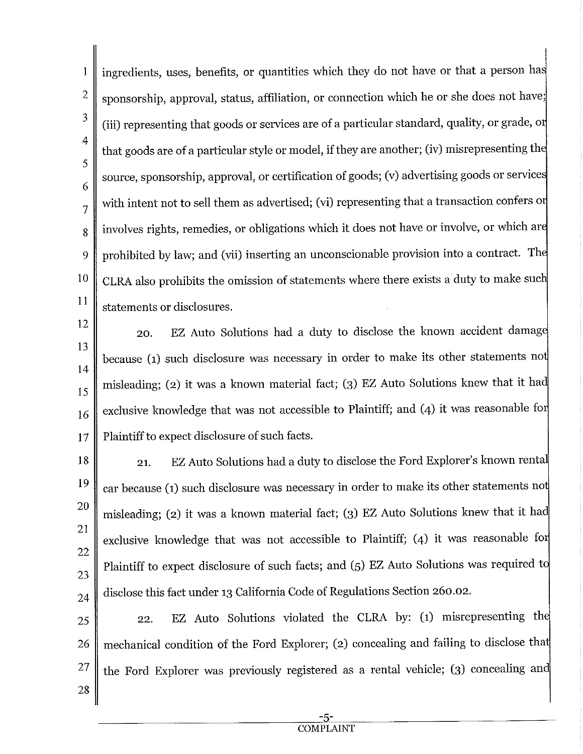1 2 3 4 5 6 7 8  $\mathbf Q$ 10 11 ingredients, uses, benefits, or quantities which they do not have or that a person ha sponsorship, approval, status, affiliation, or connection which he or she does not have; (iii) representing that goods or services are of a particular standard, quality, or grade, o that goods are of a particular style or model, if they are another; (iv) misrepresenting th source, sponsorship, approval, or certification of goods; (v) advertising goods or service with intent not to sell them as advertised; (vi) representing that a transaction confers or involves rights, remedies, or obligations which it does not have or involve, or which ar prohibited by law; and (vii) inserting an unconscionable provision into a contract. Th CLRA also prohibits the omission of statements where there exists a duty to make sue statements or disclosures.

12 13 14 15 16 17 20. EZ Auto Solutions had a duty to disclose the known accident damag because (1) such disclosure was necessary in order to make its other statements no misleading; (2) it was a known material fact; (3) EZ Auto Solutions knew that it ha exclusive knowledge that was not accessible to Plaintiff; and (4) it was reasonable for Plaintiff to expect disclosure of such facts.

18 19 20 21 22 23 24 21. EZ Auto Solutions had a duty to disclose the Ford Explorer's known renta car because (1) such disclosure was necessary in order to make its other statements no misleading; (2) it was a known material fact; (3) EZ Auto Solutions knew that it had exclusive knowledge that was not accessible to Plaintiff;  $(4)$  it was reasonable for Plaintiff to expect disclosure of such facts; and (5) EZ Auto Solutions was required to disclose this fact under 13 California Code of Regulations Section 260.02.

25 26 27 28 22. EZ Auto Solutions violated the CLRA by: (1) misrepresenting th mechanical condition of the Ford Explorer; (2) concealing and failing to disclose tha the Ford Explorer was previously registered as a rental vehicle; (3) concealing an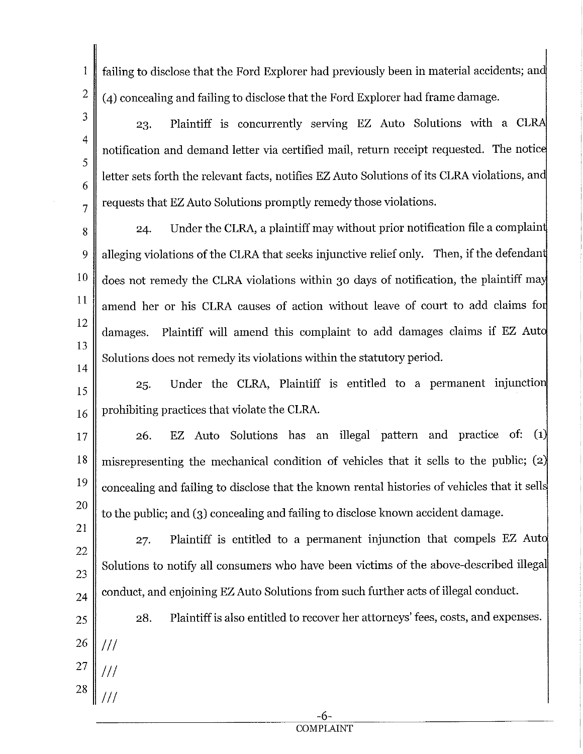1 2 failing to disclose that the Ford Explorer had previously been in material accidents; an (4) concealing and failing to disclose that the Ford Explorer had frame damage.

3 4 5 6 7 23. Plaintiff is concurrently serving EZ Auto Solutions with a CL notification and demand letter via certified mail, return receipt requested. The notic letter sets forth the relevant facts, notifies EZ Auto Solutions of its CLRA violations, an requests that EZ Auto Solutions promptly remedy those violations.

8 9 10 11 12 13 14 24. Under the CLRA, a plaintiff may without prior notification file a complain alleging violations of the CLRA that seeks injunctive relief only. Then, if the defendant does not remedy the CLRA violations within 30 days of notification, the plaintiff ma amend her or his CLRA causes of action without leave of court to add claims fo damages. Plaintiff will amend this complaint to add damages claims if EZ Aut Solutions does not remedy its violations within the statutory period.

15 16 25. Under the CLRA, Plaintiff is entitled to a permanent injunctio prohibiting practices that violate the CLRA.

- 17 18 19 20 26. EZ Auto Solutions has an illegal pattern and practice of: (1 misrepresenting the mechanical condition of vehicles that it sells to the public; (2 concealing and failing to disclose that the known rental histories of vehicles that it sell to the public; and (3) concealing and failing to disclose known accident damage.
- 21 22 23 24 27. Plaintiff is entitled to a permanent injunction that compels EZ Aut Solutions to notify all consumers who have been victims of the above-described illegal conduct, and enjoining EZ Auto Solutions from such further acts of illegal conduct.
	- 28. Plaintiff is also entitled to recover her attorneys' fees, costs, and expenses.
- 26 *Ill*

25

- 27 *Ill*
- 28 *Ill*

-6- COMPLAINT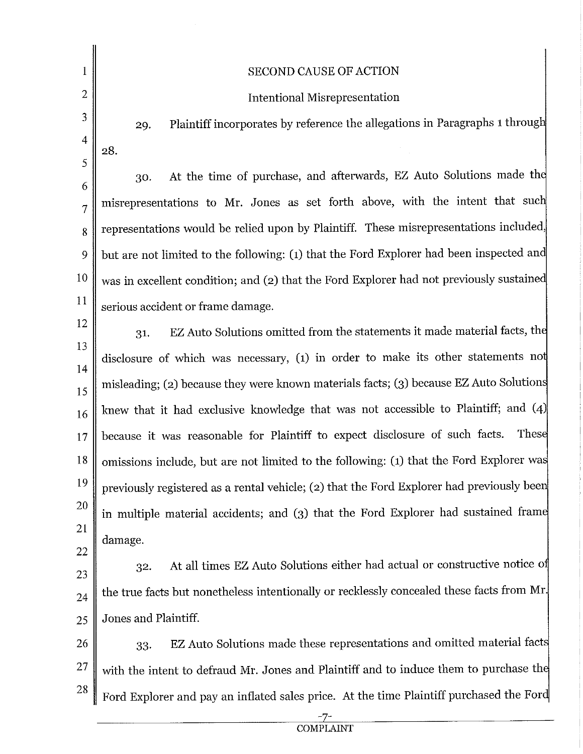|           | <b>SECOND CAUSE OF ACTION</b>                                                             |  |  |  |
|-----------|-------------------------------------------------------------------------------------------|--|--|--|
| 2         | <b>Intentional Misrepresentation</b>                                                      |  |  |  |
| 3         | Plaintiff incorporates by reference the allegations in Paragraphs 1 through<br>29.        |  |  |  |
| 4         | 28.                                                                                       |  |  |  |
| 5         | At the time of purchase, and afterwards, EZ Auto Solutions made the<br>30.                |  |  |  |
| 6         | misrepresentations to Mr. Jones as set forth above, with the intent that such             |  |  |  |
| 7         | representations would be relied upon by Plaintiff. These misrepresentations included,     |  |  |  |
| 8         |                                                                                           |  |  |  |
| 9         | but are not limited to the following: (1) that the Ford Explorer had been inspected and   |  |  |  |
| 10<br>11  | was in excellent condition; and (2) that the Ford Explorer had not previously sustained   |  |  |  |
| 12        | serious accident or frame damage.                                                         |  |  |  |
| 13        | EZ Auto Solutions omitted from the statements it made material facts, the<br>31.          |  |  |  |
| 14        | disclosure of which was necessary, $(1)$ in order to make its other statements not        |  |  |  |
| 15        | misleading; (2) because they were known materials facts; (3) because EZ Auto Solutions    |  |  |  |
| 16        | knew that it had exclusive knowledge that was not accessible to Plaintiff; and (4)        |  |  |  |
| 17        | These<br>because it was reasonable for Plaintiff to expect disclosure of such facts.      |  |  |  |
| 18        | omissions include, but are not limited to the following: (1) that the Ford Explorer was   |  |  |  |
| 19        | previously registered as a rental vehicle; (2) that the Ford Explorer had previously been |  |  |  |
| 20        | in multiple material accidents; and (3) that the Ford Explorer had sustained frame        |  |  |  |
| 21        | damage.                                                                                   |  |  |  |
| 22        | At all times EZ Auto Solutions either had actual or constructive notice of                |  |  |  |
| 23        | 32.                                                                                       |  |  |  |
| 24        | the true facts but nonetheless intentionally or recklessly concealed these facts from Mr. |  |  |  |
| 25        | Jones and Plaintiff.                                                                      |  |  |  |
| 26        | EZ Auto Solutions made these representations and omitted material facts<br>33.            |  |  |  |
| <b>27</b> | with the intent to defraud Mr. Jones and Plaintiff and to induce them to purchase the     |  |  |  |
| 28        | Ford Explorer and pay an inflated sales price. At the time Plaintiff purchased the Ford   |  |  |  |

 $\hat{\mathcal{A}}$ 

 $\frac{-7}{\text{COMPLAINT}}$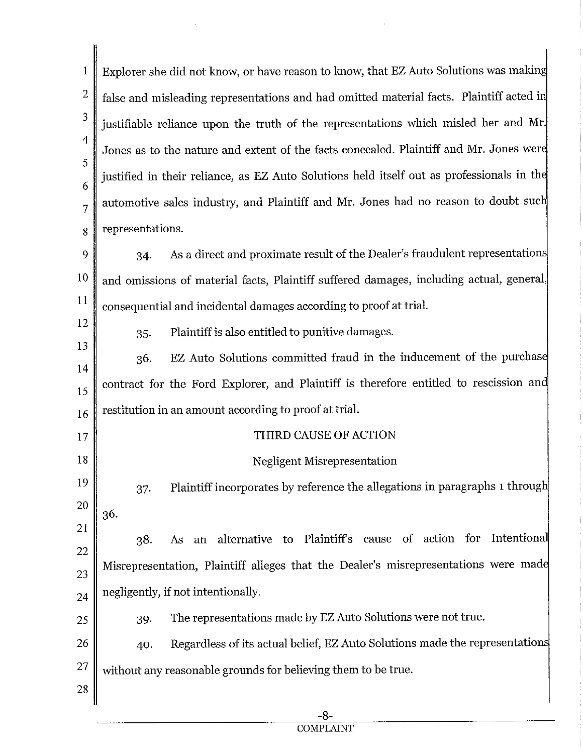1 2 3 4 5 6 7 8 Explorer she did not know, or have reason to know, that EZ Auto Solutions was makin false and misleading representations and had omitted material facts. Plaintiff acted i justifiable reliance upon the truth of the representations which misled her and Mr. Jones as to the nature and extent of the facts concealed. Plaintiff and Mr. Jones wer justified in their reliance, as EZ Auto Solutions held itself out as professionals in the automotive sales industry, and Plaintiff and Mr. Jones had no reason to doubt sue representations.

 $\mathbf Q$ 10 11 34. As a direct and proximate result of the Dealer's fraudulent representation and omissions of material facts, Plaintiff suffered damages, including actual, general, consequential and incidental damages according to proof at trial.

12

35. Plaintiff is also entitled to punitive damages.

13 EZ Auto Solutions committed fraud in the inducement of the purchas 36. 14 contract for the Ford Explorer, and Plaintiff is therefore entitled to rescission an 15 restitution in an amount according to proof at trial. 16

17 18 THIRD CAUSE OF ACTION Negligent Misrepresentation

19 37. Plaintiff incorporates by reference the allegations in paragraphs 1 throug 20 36.

21 22 23 24 38. As an alternative to Plaintiffs cause of action for Intentiona Misrepresentation, Plaintiff alleges that the Dealer's misrepresentations were mad negligently, if not intentionally.

39. The representations made by EZ Auto Solutions were not true.

26 27 40. Regardless of its actual belief, EZ Auto Solutions made the representation without any reasonable grounds for believing them to be true.

28

25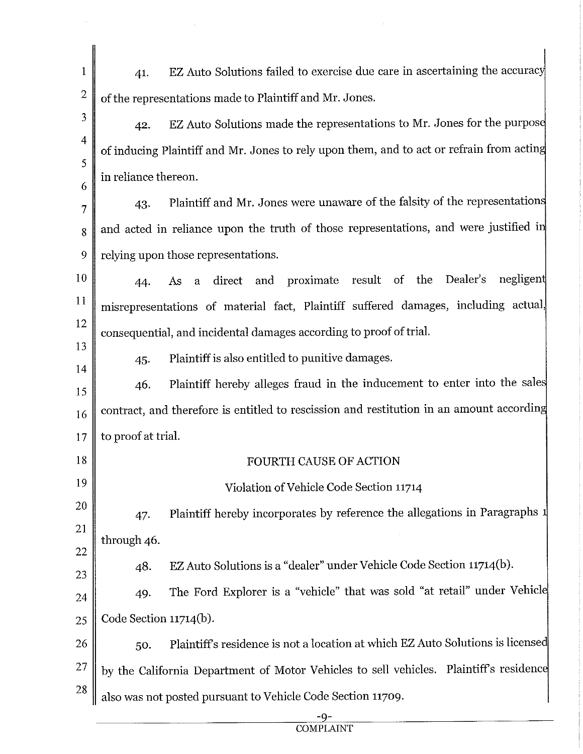41. EZ Auto Solutions failed to exercise due care in ascertaining the accurac 1 2 of the representations made to Plaintiff and Mr. Jones. 3 42. EZ Auto Solutions made the representations to Mr. Jones for the purpose 4 of inducing Plaintiff and Mr. Jones to rely upon them, and to act or refrain from actin 5 in reliance thereon. 6 43. Plaintiff and Mr. Jones were unaware of the falsity of the representation 7  $8 \parallel$  and acted in reliance upon the truth of those representations, and were justified in 9 relying upon those representations. 10 44. As a direct and proximate result of the Dealer's negligen 11 misrepresentations of material fact, Plaintiff suffered damages, including actual 12 consequential, and incidental damages according to proof of trial. 13 45. Plaintiff is also entitled to punitive damages. 14 Plaintiff hereby alleges fraud in the inducement to enter into the sale 46. 15 contract, and therefore is entitled to rescission and restitution in an amount accordin 16 to proof at trial. 17 18 FOURTH CAUSE OF ACTION 19 Violation of Vehicle Code Section 11714 20 Plaintiff hereby incorporates by reference the allegations in Paragraphs 47. 21 through 46. 22 48. EZ Auto Solutions is a "dealer" under Vehicle Code Section 11714(b). 23 49. The Ford Explorer is a "vehicle" that was sold "at retail" under Vehicl 24 25 Code Section 11714(b). 50. Plaintiffs residence is not a location at which EZ Auto Solutions is license 26 27 by the California Department of Motor Vehicles to sell vehicles. Plaintiff's residence 28 also was not posted pursuant to Vehicle Code Section 11709.

> -9- **COMPLAINT**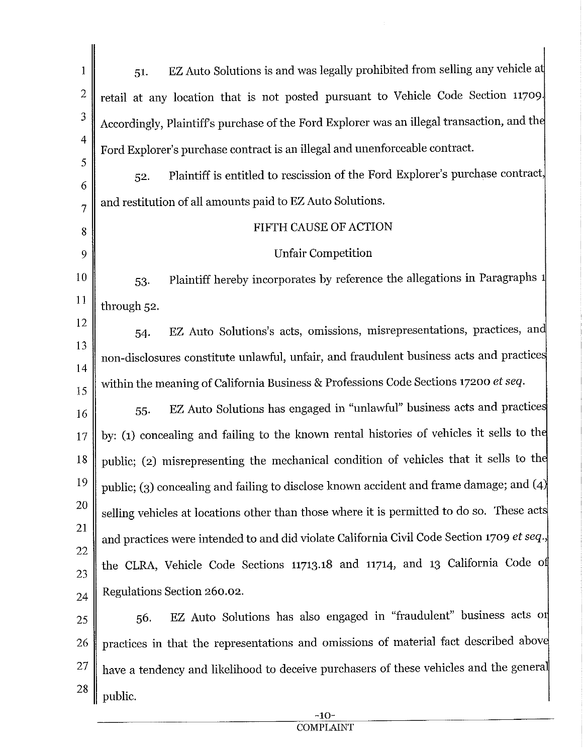| 1              | EZ Auto Solutions is and was legally prohibited from selling any vehicle at<br>51.         |  |  |  |
|----------------|--------------------------------------------------------------------------------------------|--|--|--|
| $\overline{2}$ | retail at any location that is not posted pursuant to Vehicle Code Section 11709.          |  |  |  |
| 3              | Accordingly, Plaintiff's purchase of the Ford Explorer was an illegal transaction, and the |  |  |  |
| $\overline{4}$ | Ford Explorer's purchase contract is an illegal and unenforceable contract.                |  |  |  |
| 5              | Plaintiff is entitled to rescission of the Ford Explorer's purchase contract,<br>52.       |  |  |  |
| 6<br>7         | and restitution of all amounts paid to EZ Auto Solutions.                                  |  |  |  |
| 8              | FIFTH CAUSE OF ACTION                                                                      |  |  |  |
| 9              | <b>Unfair Competition</b>                                                                  |  |  |  |
| 10             | Plaintiff hereby incorporates by reference the allegations in Paragraphs 1<br>53.          |  |  |  |
| 11             | through 52.                                                                                |  |  |  |
| 12             | EZ Auto Solutions's acts, omissions, misrepresentations, practices, and<br>54.             |  |  |  |
| 13             | non-disclosures constitute unlawful, unfair, and fraudulent business acts and practices    |  |  |  |
| 14<br>15       | within the meaning of California Business & Professions Code Sections 17200 et seq.        |  |  |  |
| 16             | EZ Auto Solutions has engaged in "unlawful" business acts and practices<br>55.             |  |  |  |
| 17             | by: (1) concealing and failing to the known rental histories of vehicles it sells to the   |  |  |  |
| 18             | public; (2) misrepresenting the mechanical condition of vehicles that it sells to the      |  |  |  |
| 19             | public; (3) concealing and failing to disclose known accident and frame damage; and $(4)$  |  |  |  |
| 20             | selling vehicles at locations other than those where it is permitted to do so. These acts  |  |  |  |
| 21             | and practices were intended to and did violate California Civil Code Section 1709 et seq., |  |  |  |
| 22<br>23       | the CLRA, Vehicle Code Sections 11713.18 and 11714, and 13 California Code of              |  |  |  |
| 24             | Regulations Section 260.02.                                                                |  |  |  |
| 25             | EZ Auto Solutions has also engaged in "fraudulent" business acts or<br>56.                 |  |  |  |
| 26             | practices in that the representations and omissions of material fact described above       |  |  |  |
| 27             | have a tendency and likelihood to deceive purchasers of these vehicles and the general     |  |  |  |
| 28             | public.                                                                                    |  |  |  |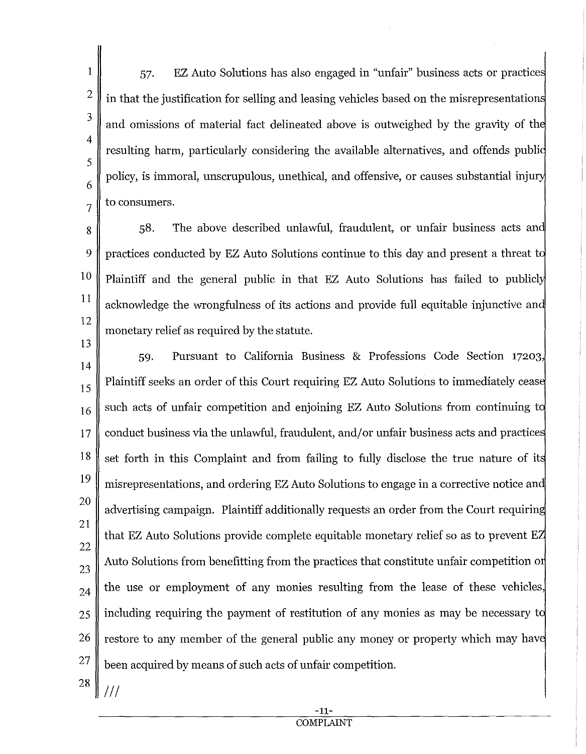1 2 3 4 5 6 7 57. EZ Auto Solutions has also engaged in "unfair" business acts or practice in that the justification for selling and leasing vehicles based on the misrepresentation and omissions of material fact delineated above is outweighed by the gravity of th resulting harm, particularly considering the available alternatives, and offends publi policy, is immoral, unscrupulous, unethical, and offensive, or causes substantial inju to consumers.

8 9 10 11 12 13 58. The above described unlawful, fraudulent, or unfair business acts an practices conducted by EZ Auto Solutions continue to this day and present a threat t Plaintiff and the general public in that EZ Auto Solutions has failed to publicly acknowledge the wrongfulness of its actions and provide full equitable injunctive an monetary relief as required by the statute.

- 14 15 16 17 18 19 20 21 22 23 24 25 26 27 59. Pursuant to California Business & Professions Code Section 17203, Plaintiff seeks an order of this Court requiring EZ Auto Solutions to immediately ceas such acts of unfair competition and enjoining EZ Auto Solutions from continuing t conduct business via the unlawful, fraudulent, and/or unfair business acts and practices set forth in this Complaint and from failing to fully disclose the true nature of it misrepresentations, and ordering EZ Auto Solutions to engage in a corrective notice an advertising campaign. Plaintiff additionally requests an order from the Court requirin that EZ Auto Solutions provide complete equitable monetary relief so as to prevent E Auto Solutions from benefitting from the practices that constitute unfair competition o the use or employment of any monies resulting from the lease of these vehicles, including requiring the payment of restitution of any monies as may be necessary t restore to any member of the general public any money or property which may have been acquired by means of such acts of unfair competition.
- 28 Ill